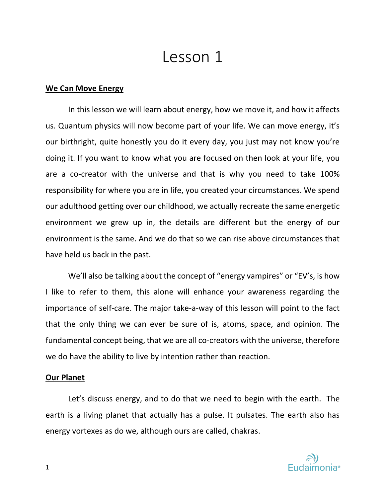# Lesson 1

## **We Can Move Energy**

In this lesson we will learn about energy, how we move it, and how it affects us. Quantum physics will now become part of your life. We can move energy, it's our birthright, quite honestly you do it every day, you just may not know you're doing it. If you want to know what you are focused on then look at your life, you are a co-creator with the universe and that is why you need to take 100% responsibility for where you are in life, you created your circumstances. We spend our adulthood getting over our childhood, we actually recreate the same energetic environment we grew up in, the details are different but the energy of our environment is the same. And we do that so we can rise above circumstances that have held us back in the past.

We'll also be talking about the concept of "energy vampires" or "EV's, is how I like to refer to them, this alone will enhance your awareness regarding the importance of self-care. The major take-a-way of this lesson will point to the fact that the only thing we can ever be sure of is, atoms, space, and opinion. The fundamental concept being, that we are all co-creators with the universe, therefore we do have the ability to live by intention rather than reaction.

## **Our Planet**

Let's discuss energy, and to do that we need to begin with the earth. The earth is a living planet that actually has a pulse. It pulsates. The earth also has energy vortexes as do we, although ours are called, chakras.

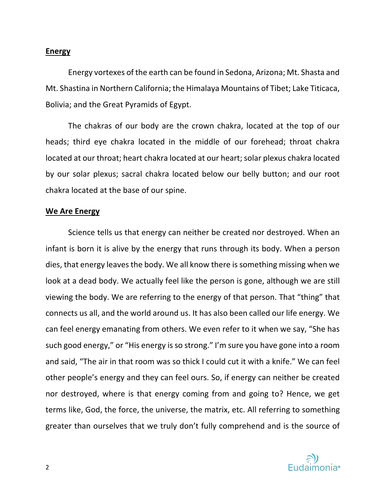## **Energy**

Energy vortexes of the earth can be found in Sedona, Arizona; Mt. Shasta and Mt. Shastina in Northern California; the Himalaya Mountains of Tibet; Lake Titicaca, Bolivia; and the Great Pyramids of Egypt.

The chakras of our body are the crown chakra, located at the top of our heads; third eye chakra located in the middle of our forehead; throat chakra located at our throat; heart chakra located at our heart; solar plexus chakra located by our solar plexus; sacral chakra located below our belly button; and our root chakra located at the base of our spine.

## **We Are Energy**

Science tells us that energy can neither be created nor destroyed. When an infant is born it is alive by the energy that runs through its body. When a person dies, that energy leaves the body. We all know there is something missing when we look at a dead body. We actually feel like the person is gone, although we are still viewing the body. We are referring to the energy of that person. That "thing" that connects us all, and the world around us. It has also been called our life energy. We can feel energy emanating from others. We even refer to it when we say, "She has such good energy," or "His energy is so strong." I'm sure you have gone into a room and said, "The air in that room was so thick I could cut it with a knife." We can feel other people's energy and they can feel ours. So, if energy can neither be created nor destroyed, where is that energy coming from and going to? Hence, we get terms like, God, the force, the universe, the matrix, etc. All referring to something greater than ourselves that we truly don't fully comprehend and is the source of

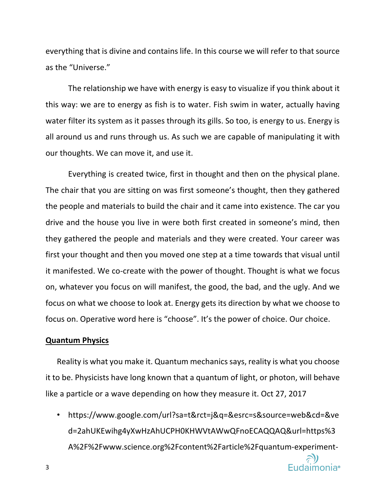everything that is divine and contains life. In this course we will refer to that source as the "Universe."

The relationship we have with energy is easy to visualize if you think about it this way: we are to energy as fish is to water. Fish swim in water, actually having water filter its system as it passes through its gills. So too, is energy to us. Energy is all around us and runs through us. As such we are capable of manipulating it with our thoughts. We can move it, and use it.

Everything is created twice, first in thought and then on the physical plane. The chair that you are sitting on was first someone's thought, then they gathered the people and materials to build the chair and it came into existence. The car you drive and the house you live in were both first created in someone's mind, then they gathered the people and materials and they were created. Your career was first your thought and then you moved one step at a time towards that visual until it manifested. We co-create with the power of thought. Thought is what we focus on, whatever you focus on will manifest, the good, the bad, and the ugly. And we focus on what we choose to look at. Energy gets its direction by what we choose to focus on. Operative word here is "choose". It's the power of choice. Our choice.

#### **Quantum Physics**

3

Reality is what you make it. Quantum mechanics says, reality is what you choose it to be. Physicists have long known that a quantum of light, or photon, will behave like a particle or a wave depending on how they measure it. Oct 27, 2017

• https://www.google.com/url?sa=t&rct=j&q=&esrc=s&source=web&cd=&ve d=2ahUKEwihg4yXwHzAhUCPH0KHWVtAWwQFnoECAQQAQ&url=https%3 A%2F%2Fwww.science.org%2Fcontent%2Farticle%2Fquantum-experiment-

**Eudaimonia**<sup>®</sup>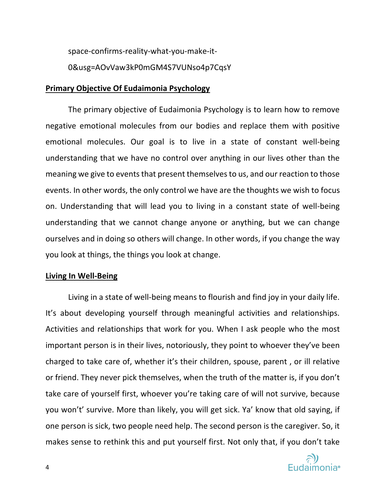space-confirms-reality-what-you-make-it-0&usg=AOvVaw3kP0mGM4S7VUNso4p7CqsY

#### **Primary Objective Of Eudaimonia Psychology**

The primary objective of Eudaimonia Psychology is to learn how to remove negative emotional molecules from our bodies and replace them with positive emotional molecules. Our goal is to live in a state of constant well-being understanding that we have no control over anything in our lives other than the meaning we give to events that present themselves to us, and our reaction to those events. In other words, the only control we have are the thoughts we wish to focus on. Understanding that will lead you to living in a constant state of well-being understanding that we cannot change anyone or anything, but we can change ourselves and in doing so others will change. In other words, if you change the way you look at things, the things you look at change.

#### **Living In Well-Being**

Living in a state of well-being means to flourish and find joy in your daily life. It's about developing yourself through meaningful activities and relationships. Activities and relationships that work for you. When I ask people who the most important person is in their lives, notoriously, they point to whoever they've been charged to take care of, whether it's their children, spouse, parent , or ill relative or friend. They never pick themselves, when the truth of the matter is, if you don't take care of yourself first, whoever you're taking care of will not survive, because you won't' survive. More than likely, you will get sick. Ya' know that old saying, if one person is sick, two people need help. The second person is the caregiver. So, it makes sense to rethink this and put yourself first. Not only that, if you don't take

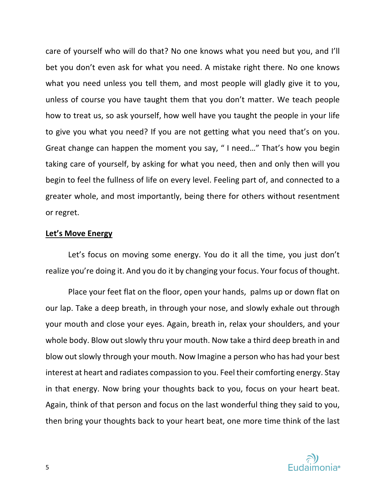care of yourself who will do that? No one knows what you need but you, and I'll bet you don't even ask for what you need. A mistake right there. No one knows what you need unless you tell them, and most people will gladly give it to you, unless of course you have taught them that you don't matter. We teach people how to treat us, so ask yourself, how well have you taught the people in your life to give you what you need? If you are not getting what you need that's on you. Great change can happen the moment you say, " I need…" That's how you begin taking care of yourself, by asking for what you need, then and only then will you begin to feel the fullness of life on every level. Feeling part of, and connected to a greater whole, and most importantly, being there for others without resentment or regret.

## **Let's Move Energy**

Let's focus on moving some energy. You do it all the time, you just don't realize you're doing it. And you do it by changing your focus. Your focus of thought.

Place your feet flat on the floor, open your hands, palms up or down flat on our lap. Take a deep breath, in through your nose, and slowly exhale out through your mouth and close your eyes. Again, breath in, relax your shoulders, and your whole body. Blow out slowly thru your mouth. Now take a third deep breath in and blow out slowly through your mouth. Now Imagine a person who has had your best interest at heart and radiates compassion to you. Feel their comforting energy. Stay in that energy. Now bring your thoughts back to you, focus on your heart beat. Again, think of that person and focus on the last wonderful thing they said to you, then bring your thoughts back to your heart beat, one more time think of the last

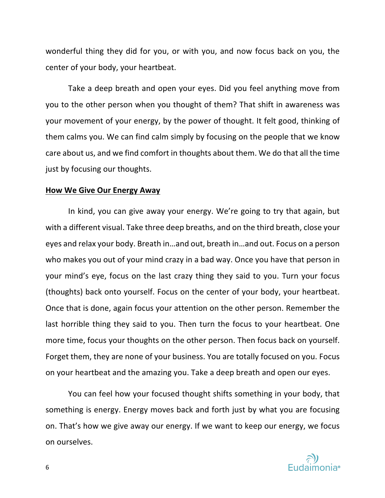wonderful thing they did for you, or with you, and now focus back on you, the center of your body, your heartbeat.

Take a deep breath and open your eyes. Did you feel anything move from you to the other person when you thought of them? That shift in awareness was your movement of your energy, by the power of thought. It felt good, thinking of them calms you. We can find calm simply by focusing on the people that we know care about us, and we find comfort in thoughts about them. We do that all the time just by focusing our thoughts.

#### **How We Give Our Energy Away**

In kind, you can give away your energy. We're going to try that again, but with a different visual. Take three deep breaths, and on the third breath, close your eyes and relax your body. Breath in…and out, breath in…and out. Focus on a person who makes you out of your mind crazy in a bad way. Once you have that person in your mind's eye, focus on the last crazy thing they said to you. Turn your focus (thoughts) back onto yourself. Focus on the center of your body, your heartbeat. Once that is done, again focus your attention on the other person. Remember the last horrible thing they said to you. Then turn the focus to your heartbeat. One more time, focus your thoughts on the other person. Then focus back on yourself. Forget them, they are none of your business. You are totally focused on you. Focus on your heartbeat and the amazing you. Take a deep breath and open our eyes.

You can feel how your focused thought shifts something in your body, that something is energy. Energy moves back and forth just by what you are focusing on. That's how we give away our energy. If we want to keep our energy, we focus on ourselves.

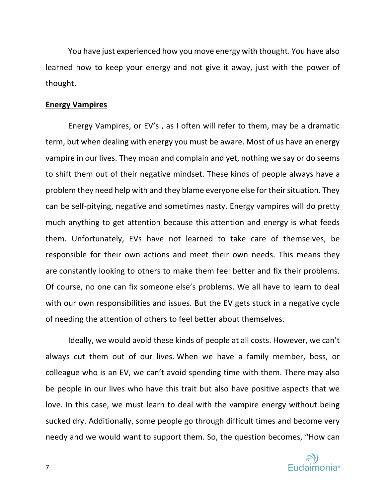You have just experienced how you move energy with thought. You have also learned how to keep your energy and not give it away, just with the power of thought.

#### **Energy Vampires**

Energy Vampires, or EV's , as I often will refer to them, may be a dramatic term, but when dealing with energy you must be aware. Most of us have an energy vampire in our lives. They moan and complain and yet, nothing we say or do seems to shift them out of their negative mindset. These kinds of people always have a problem they need help with and they blame everyone else for their situation. They can be self-pitying, negative and sometimes nasty. Energy vampires will do pretty much anything to get attention because this attention and energy is what feeds them. Unfortunately, EVs have not learned to take care of themselves, be responsible for their own actions and meet their own needs. This means they are constantly looking to others to make them feel better and fix their problems. Of course, no one can fix someone else's problems. We all have to learn to deal with our own responsibilities and issues. But the EV gets stuck in a negative cycle of needing the attention of others to feel better about themselves.

Ideally, we would avoid these kinds of people at all costs. However, we can't always cut them out of our lives. When we have a family member, boss, or colleague who is an EV, we can't avoid spending time with them. There may also be people in our lives who have this trait but also have positive aspects that we love. In this case, we must learn to deal with the vampire energy without being sucked dry. Additionally, some people go through difficult times and become very needy and we would want to support them. So, the question becomes, "How can

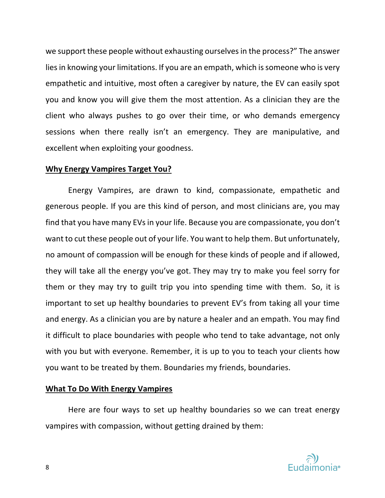we support these people without exhausting ourselves in the process?" The answer lies in knowing your limitations. If you are an empath, which is someone who is very empathetic and intuitive, most often a caregiver by nature, the EV can easily spot you and know you will give them the most attention. As a clinician they are the client who always pushes to go over their time, or who demands emergency sessions when there really isn't an emergency. They are manipulative, and excellent when exploiting your goodness.

#### **Why Energy Vampires Target You?**

Energy Vampires, are drawn to kind, compassionate, empathetic and generous people. If you are this kind of person, and most clinicians are, you may find that you have many EVs in your life. Because you are compassionate, you don't want to cut these people out of your life. You want to help them. But unfortunately, no amount of compassion will be enough for these kinds of people and if allowed, they will take all the energy you've got. They may try to make you feel sorry for them or they may try to guilt trip you into spending time with them. So, it is important to set up healthy boundaries to prevent EV's from taking all your time and energy. As a clinician you are by nature a healer and an empath. You may find it difficult to place boundaries with people who tend to take advantage, not only with you but with everyone. Remember, it is up to you to teach your clients how you want to be treated by them. Boundaries my friends, boundaries.

#### **What To Do With Energy Vampires**

Here are four ways to set up healthy boundaries so we can treat energy vampires with compassion, without getting drained by them:

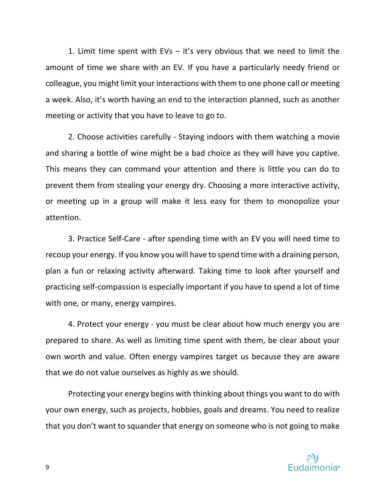1. Limit time spent with EVs – it's very obvious that we need to limit the amount of time we share with an EV. If you have a particularly needy friend or colleague, you might limit your interactions with them to one phone call or meeting a week. Also, it's worth having an end to the interaction planned, such as another meeting or activity that you have to leave to go to.

2. Choose activities carefully - Staying indoors with them watching a movie and sharing a bottle of wine might be a bad choice as they will have you captive. This means they can command your attention and there is little you can do to prevent them from stealing your energy dry. Choosing a more interactive activity, or meeting up in a group will make it less easy for them to monopolize your attention.

3. Practice Self-Care - after spending time with an EV you will need time to recoup your energy. If you know you will have to spend time with a draining person, plan a fun or relaxing activity afterward. Taking time to look after yourself and practicing self-compassion is especially important if you have to spend a lot of time with one, or many, energy vampires.

4. Protect your energy - you must be clear about how much energy you are prepared to share. As well as limiting time spent with them, be clear about your own worth and value. Often energy vampires target us because they are aware that we do not value ourselves as highly as we should.

Protecting your energy begins with thinking about things you want to do with your own energy, such as projects, hobbies, goals and dreams. You need to realize that you don't want to squander that energy on someone who is not going to make

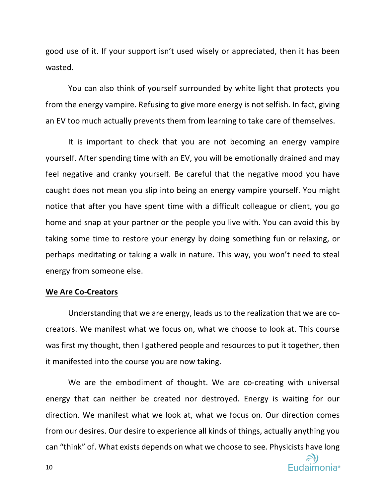good use of it. If your support isn't used wisely or appreciated, then it has been wasted.

You can also think of yourself surrounded by white light that protects you from the energy vampire. Refusing to give more energy is not selfish. In fact, giving an EV too much actually prevents them from learning to take care of themselves.

It is important to check that you are not becoming an energy vampire yourself. After spending time with an EV, you will be emotionally drained and may feel negative and cranky yourself. Be careful that the negative mood you have caught does not mean you slip into being an energy vampire yourself. You might notice that after you have spent time with a difficult colleague or client, you go home and snap at your partner or the people you live with. You can avoid this by taking some time to restore your energy by doing something fun or relaxing, or perhaps meditating or taking a walk in nature. This way, you won't need to steal energy from someone else.

#### **We Are Co-Creators**

Understanding that we are energy, leads us to the realization that we are cocreators. We manifest what we focus on, what we choose to look at. This course was first my thought, then I gathered people and resources to put it together, then it manifested into the course you are now taking.

We are the embodiment of thought. We are co-creating with universal energy that can neither be created nor destroyed. Energy is waiting for our direction. We manifest what we look at, what we focus on. Our direction comes from our desires. Our desire to experience all kinds of things, actually anything you can "think" of. What exists depends on what we choose to see. Physicists have long

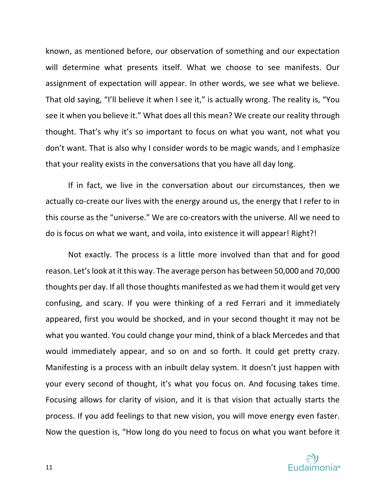known, as mentioned before, our observation of something and our expectation will determine what presents itself. What we choose to see manifests. Our assignment of expectation will appear. In other words, we see what we believe. That old saying, "I'll believe it when I see it," is actually wrong. The reality is, "You see it when you believe it." What does all this mean? We create our reality through thought. That's why it's so important to focus on what you want, not what you don't want. That is also why I consider words to be magic wands, and I emphasize that your reality exists in the conversations that you have all day long.

If in fact, we live in the conversation about our circumstances, then we actually co-create our lives with the energy around us, the energy that I refer to in this course as the "universe." We are co-creators with the universe. All we need to do is focus on what we want, and voila, into existence it will appear! Right?!

Not exactly. The process is a little more involved than that and for good reason. Let's look at it this way. The average person has between 50,000 and 70,000 thoughts per day. If all those thoughts manifested as we had them it would get very confusing, and scary. If you were thinking of a red Ferrari and it immediately appeared, first you would be shocked, and in your second thought it may not be what you wanted. You could change your mind, think of a black Mercedes and that would immediately appear, and so on and so forth. It could get pretty crazy. Manifesting is a process with an inbuilt delay system. It doesn't just happen with your every second of thought, it's what you focus on. And focusing takes time. Focusing allows for clarity of vision, and it is that vision that actually starts the process. If you add feelings to that new vision, you will move energy even faster. Now the question is, "How long do you need to focus on what you want before it

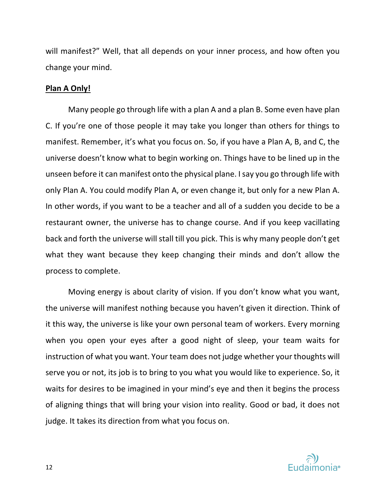will manifest?" Well, that all depends on your inner process, and how often you change your mind.

## **Plan A Only!**

Many people go through life with a plan A and a plan B. Some even have plan C. If you're one of those people it may take you longer than others for things to manifest. Remember, it's what you focus on. So, if you have a Plan A, B, and C, the universe doesn't know what to begin working on. Things have to be lined up in the unseen before it can manifest onto the physical plane. I say you go through life with only Plan A. You could modify Plan A, or even change it, but only for a new Plan A. In other words, if you want to be a teacher and all of a sudden you decide to be a restaurant owner, the universe has to change course. And if you keep vacillating back and forth the universe will stall till you pick. This is why many people don't get what they want because they keep changing their minds and don't allow the process to complete.

Moving energy is about clarity of vision. If you don't know what you want, the universe will manifest nothing because you haven't given it direction. Think of it this way, the universe is like your own personal team of workers. Every morning when you open your eyes after a good night of sleep, your team waits for instruction of what you want. Your team does not judge whether your thoughts will serve you or not, its job is to bring to you what you would like to experience. So, it waits for desires to be imagined in your mind's eye and then it begins the process of aligning things that will bring your vision into reality. Good or bad, it does not judge. It takes its direction from what you focus on.

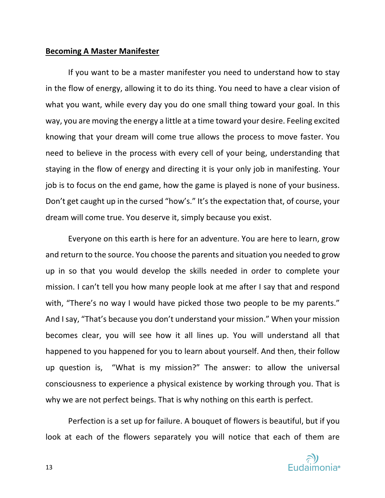## **Becoming A Master Manifester**

If you want to be a master manifester you need to understand how to stay in the flow of energy, allowing it to do its thing. You need to have a clear vision of what you want, while every day you do one small thing toward your goal. In this way, you are moving the energy a little at a time toward your desire. Feeling excited knowing that your dream will come true allows the process to move faster. You need to believe in the process with every cell of your being, understanding that staying in the flow of energy and directing it is your only job in manifesting. Your job is to focus on the end game, how the game is played is none of your business. Don't get caught up in the cursed "how's." It's the expectation that, of course, your dream will come true. You deserve it, simply because you exist.

Everyone on this earth is here for an adventure. You are here to learn, grow and return to the source. You choose the parents and situation you needed to grow up in so that you would develop the skills needed in order to complete your mission. I can't tell you how many people look at me after I say that and respond with, "There's no way I would have picked those two people to be my parents." And I say, "That's because you don't understand your mission." When your mission becomes clear, you will see how it all lines up. You will understand all that happened to you happened for you to learn about yourself. And then, their follow up question is, "What is my mission?" The answer: to allow the universal consciousness to experience a physical existence by working through you. That is why we are not perfect beings. That is why nothing on this earth is perfect.

Perfection is a set up for failure. A bouquet of flowers is beautiful, but if you look at each of the flowers separately you will notice that each of them are

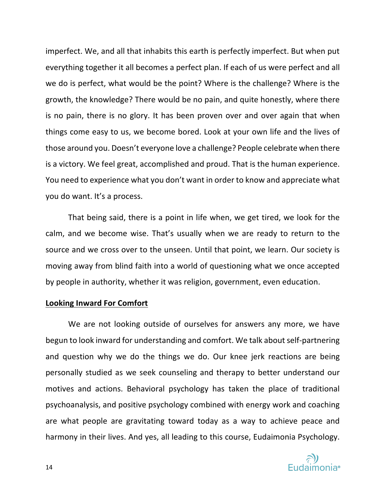imperfect. We, and all that inhabits this earth is perfectly imperfect. But when put everything together it all becomes a perfect plan. If each of us were perfect and all we do is perfect, what would be the point? Where is the challenge? Where is the growth, the knowledge? There would be no pain, and quite honestly, where there is no pain, there is no glory. It has been proven over and over again that when things come easy to us, we become bored. Look at your own life and the lives of those around you. Doesn't everyone love a challenge? People celebrate when there is a victory. We feel great, accomplished and proud. That is the human experience. You need to experience what you don't want in order to know and appreciate what you do want. It's a process.

That being said, there is a point in life when, we get tired, we look for the calm, and we become wise. That's usually when we are ready to return to the source and we cross over to the unseen. Until that point, we learn. Our society is moving away from blind faith into a world of questioning what we once accepted by people in authority, whether it was religion, government, even education.

## **Looking Inward For Comfort**

We are not looking outside of ourselves for answers any more, we have begun to look inward for understanding and comfort. We talk about self-partnering and question why we do the things we do. Our knee jerk reactions are being personally studied as we seek counseling and therapy to better understand our motives and actions. Behavioral psychology has taken the place of traditional psychoanalysis, and positive psychology combined with energy work and coaching are what people are gravitating toward today as a way to achieve peace and harmony in their lives. And yes, all leading to this course, Eudaimonia Psychology.

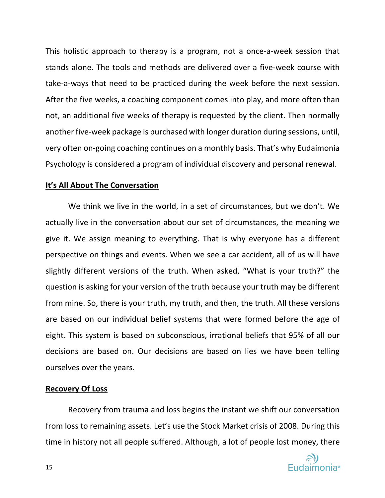This holistic approach to therapy is a program, not a once-a-week session that stands alone. The tools and methods are delivered over a five-week course with take-a-ways that need to be practiced during the week before the next session. After the five weeks, a coaching component comes into play, and more often than not, an additional five weeks of therapy is requested by the client. Then normally another five-week package is purchased with longer duration during sessions, until, very often on-going coaching continues on a monthly basis. That's why Eudaimonia Psychology is considered a program of individual discovery and personal renewal.

## **It's All About The Conversation**

We think we live in the world, in a set of circumstances, but we don't. We actually live in the conversation about our set of circumstances, the meaning we give it. We assign meaning to everything. That is why everyone has a different perspective on things and events. When we see a car accident, all of us will have slightly different versions of the truth. When asked, "What is your truth?" the question is asking for your version of the truth because your truth may be different from mine. So, there is your truth, my truth, and then, the truth. All these versions are based on our individual belief systems that were formed before the age of eight. This system is based on subconscious, irrational beliefs that 95% of all our decisions are based on. Our decisions are based on lies we have been telling ourselves over the years.

## **Recovery Of Loss**

Recovery from trauma and loss begins the instant we shift our conversation from loss to remaining assets. Let's use the Stock Market crisis of 2008. During this time in history not all people suffered. Although, a lot of people lost money, there

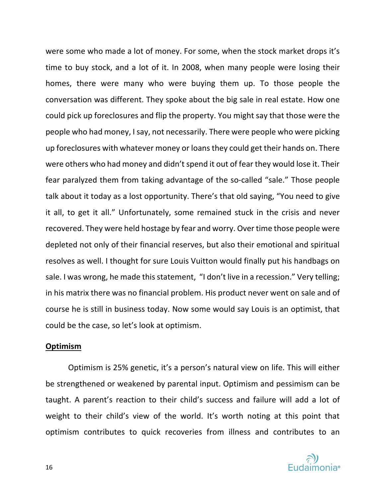were some who made a lot of money. For some, when the stock market drops it's time to buy stock, and a lot of it. In 2008, when many people were losing their homes, there were many who were buying them up. To those people the conversation was different. They spoke about the big sale in real estate. How one could pick up foreclosures and flip the property. You might say that those were the people who had money, I say, not necessarily. There were people who were picking up foreclosures with whatever money or loans they could get their hands on. There were others who had money and didn't spend it out of fear they would lose it. Their fear paralyzed them from taking advantage of the so-called "sale." Those people talk about it today as a lost opportunity. There's that old saying, "You need to give it all, to get it all." Unfortunately, some remained stuck in the crisis and never recovered. They were held hostage by fear and worry. Over time those people were depleted not only of their financial reserves, but also their emotional and spiritual resolves as well. I thought for sure Louis Vuitton would finally put his handbags on sale. I was wrong, he made this statement, "I don't live in a recession." Very telling; in his matrix there was no financial problem. His product never went on sale and of course he is still in business today. Now some would say Louis is an optimist, that could be the case, so let's look at optimism.

#### **Optimism**

Optimism is 25% genetic, it's a person's natural view on life. This will either be strengthened or weakened by parental input. Optimism and pessimism can be taught. A parent's reaction to their child's success and failure will add a lot of weight to their child's view of the world. It's worth noting at this point that optimism contributes to quick recoveries from illness and contributes to an

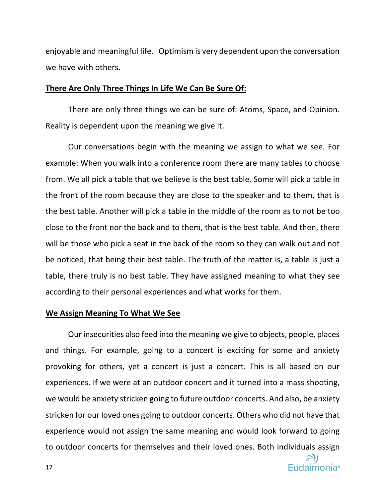enjoyable and meaningful life. Optimism is very dependent upon the conversation we have with others.

#### **There Are Only Three Things In Life We Can Be Sure Of:**

There are only three things we can be sure of: Atoms, Space, and Opinion. Reality is dependent upon the meaning we give it.

Our conversations begin with the meaning we assign to what we see. For example: When you walk into a conference room there are many tables to choose from. We all pick a table that we believe is the best table. Some will pick a table in the front of the room because they are close to the speaker and to them, that is the best table. Another will pick a table in the middle of the room as to not be too close to the front nor the back and to them, that is the best table. And then, there will be those who pick a seat in the back of the room so they can walk out and not be noticed, that being their best table. The truth of the matter is, a table is just a table, there truly is no best table. They have assigned meaning to what they see according to their personal experiences and what works for them.

#### **We Assign Meaning To What We See**

Our insecurities also feed into the meaning we give to objects, people, places and things. For example, going to a concert is exciting for some and anxiety provoking for others, yet a concert is just a concert. This is all based on our experiences. If we were at an outdoor concert and it turned into a mass shooting, we would be anxiety stricken going to future outdoor concerts. And also, be anxiety stricken for our loved ones going to outdoor concerts. Others who did not have that experience would not assign the same meaning and would look forward to going to outdoor concerts for themselves and their loved ones. Both individuals assign

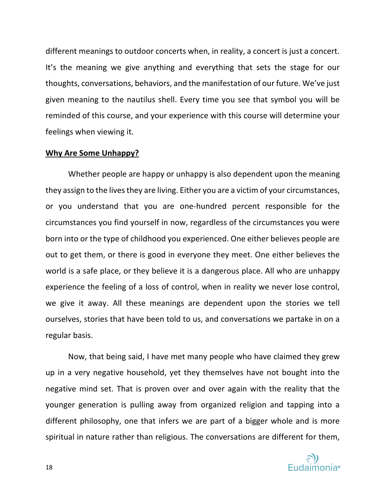different meanings to outdoor concerts when, in reality, a concert is just a concert. It's the meaning we give anything and everything that sets the stage for our thoughts, conversations, behaviors, and the manifestation of our future. We've just given meaning to the nautilus shell. Every time you see that symbol you will be reminded of this course, and your experience with this course will determine your feelings when viewing it.

#### **Why Are Some Unhappy?**

Whether people are happy or unhappy is also dependent upon the meaning they assign to the lives they are living. Either you are a victim of your circumstances, or you understand that you are one-hundred percent responsible for the circumstances you find yourself in now, regardless of the circumstances you were born into or the type of childhood you experienced. One either believes people are out to get them, or there is good in everyone they meet. One either believes the world is a safe place, or they believe it is a dangerous place. All who are unhappy experience the feeling of a loss of control, when in reality we never lose control, we give it away. All these meanings are dependent upon the stories we tell ourselves, stories that have been told to us, and conversations we partake in on a regular basis.

Now, that being said, I have met many people who have claimed they grew up in a very negative household, yet they themselves have not bought into the negative mind set. That is proven over and over again with the reality that the younger generation is pulling away from organized religion and tapping into a different philosophy, one that infers we are part of a bigger whole and is more spiritual in nature rather than religious. The conversations are different for them,

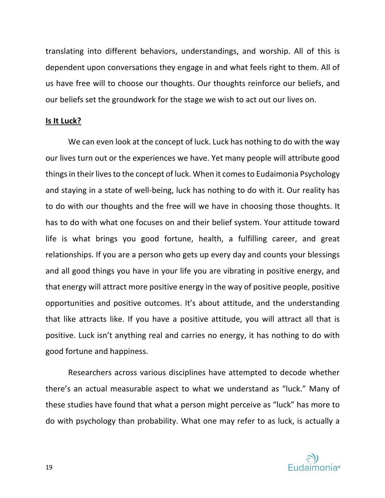translating into different behaviors, understandings, and worship. All of this is dependent upon conversations they engage in and what feels right to them. All of us have free will to choose our thoughts. Our thoughts reinforce our beliefs, and our beliefs set the groundwork for the stage we wish to act out our lives on.

## **Is It Luck?**

We can even look at the concept of luck. Luck has nothing to do with the way our lives turn out or the experiences we have. Yet many people will attribute good things in their lives to the concept of luck. When it comes to Eudaimonia Psychology and staying in a state of well-being, luck has nothing to do with it. Our reality has to do with our thoughts and the free will we have in choosing those thoughts. It has to do with what one focuses on and their belief system. Your attitude toward life is what brings you good fortune, health, a fulfilling career, and great relationships. If you are a person who gets up every day and counts your blessings and all good things you have in your life you are vibrating in positive energy, and that energy will attract more positive energy in the way of positive people, positive opportunities and positive outcomes. It's about attitude, and the understanding that like attracts like. If you have a positive attitude, you will attract all that is positive. Luck isn't anything real and carries no energy, it has nothing to do with good fortune and happiness.

Researchers across various disciplines have attempted to decode whether there's an actual measurable aspect to what we understand as "luck." Many of these studies have found that what a person might perceive as "luck" has more to do with psychology than probability. What one may refer to as luck, is actually a

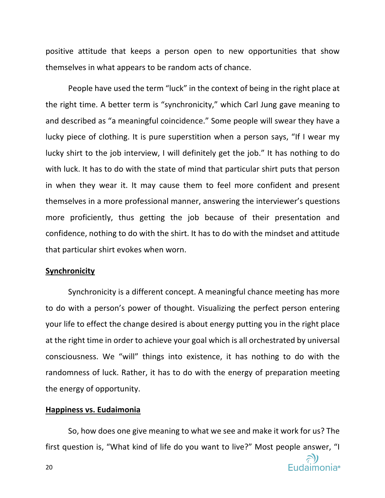positive attitude that keeps a person open to new opportunities that show themselves in what appears to be random acts of chance.

People have used the term "luck" in the context of being in the right place at the right time. A better term is "synchronicity," which Carl Jung gave meaning to and described as "a meaningful coincidence." Some people will swear they have a lucky piece of clothing. It is pure superstition when a person says, "If I wear my lucky shirt to the job interview, I will definitely get the job." It has nothing to do with luck. It has to do with the state of mind that particular shirt puts that person in when they wear it. It may cause them to feel more confident and present themselves in a more professional manner, answering the interviewer's questions more proficiently, thus getting the job because of their presentation and confidence, nothing to do with the shirt. It has to do with the mindset and attitude that particular shirt evokes when worn.

#### **Synchronicity**

Synchronicity is a different concept. A meaningful chance meeting has more to do with a person's power of thought. Visualizing the perfect person entering your life to effect the change desired is about energy putting you in the right place at the right time in order to achieve your goal which is all orchestrated by universal consciousness. We "will" things into existence, it has nothing to do with the randomness of luck. Rather, it has to do with the energy of preparation meeting the energy of opportunity.

## **Happiness vs. Eudaimonia**

So, how does one give meaning to what we see and make it work for us? The first question is, "What kind of life do you want to live?" Most people answer, "I

Eudaimonia®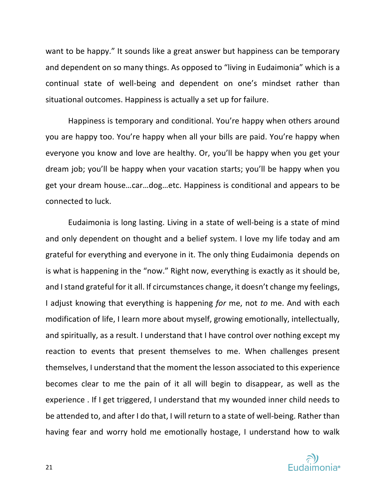want to be happy." It sounds like a great answer but happiness can be temporary and dependent on so many things. As opposed to "living in Eudaimonia" which is a continual state of well-being and dependent on one's mindset rather than situational outcomes. Happiness is actually a set up for failure.

Happiness is temporary and conditional. You're happy when others around you are happy too. You're happy when all your bills are paid. You're happy when everyone you know and love are healthy. Or, you'll be happy when you get your dream job; you'll be happy when your vacation starts; you'll be happy when you get your dream house…car…dog…etc. Happiness is conditional and appears to be connected to luck.

Eudaimonia is long lasting. Living in a state of well-being is a state of mind and only dependent on thought and a belief system. I love my life today and am grateful for everything and everyone in it. The only thing Eudaimonia depends on is what is happening in the "now." Right now, everything is exactly as it should be, and I stand grateful for it all. If circumstances change, it doesn't change my feelings, I adjust knowing that everything is happening *for* me, not *to* me. And with each modification of life, I learn more about myself, growing emotionally, intellectually, and spiritually, as a result. I understand that I have control over nothing except my reaction to events that present themselves to me. When challenges present themselves, I understand that the moment the lesson associated to this experience becomes clear to me the pain of it all will begin to disappear, as well as the experience . If I get triggered, I understand that my wounded inner child needs to be attended to, and after I do that, I will return to a state of well-being. Rather than having fear and worry hold me emotionally hostage, I understand how to walk

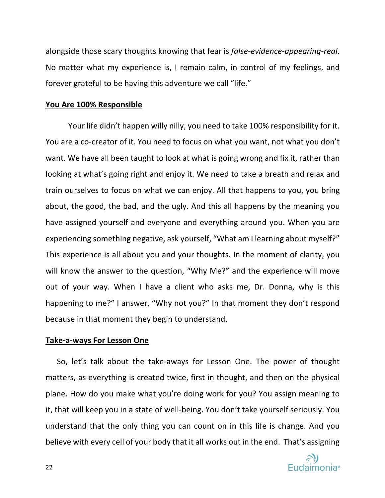alongside those scary thoughts knowing that fear is *false-evidence-appearing-real*. No matter what my experience is, I remain calm, in control of my feelings, and forever grateful to be having this adventure we call "life."

## **You Are 100% Responsible**

Your life didn't happen willy nilly, you need to take 100% responsibility for it. You are a co-creator of it. You need to focus on what you want, not what you don't want. We have all been taught to look at what is going wrong and fix it, rather than looking at what's going right and enjoy it. We need to take a breath and relax and train ourselves to focus on what we can enjoy. All that happens to you, you bring about, the good, the bad, and the ugly. And this all happens by the meaning you have assigned yourself and everyone and everything around you. When you are experiencing something negative, ask yourself, "What am I learning about myself?" This experience is all about you and your thoughts. In the moment of clarity, you will know the answer to the question, "Why Me?" and the experience will move out of your way. When I have a client who asks me, Dr. Donna, why is this happening to me?" I answer, "Why not you?" In that moment they don't respond because in that moment they begin to understand.

#### **Take-a-ways For Lesson One**

So, let's talk about the take-aways for Lesson One. The power of thought matters, as everything is created twice, first in thought, and then on the physical plane. How do you make what you're doing work for you? You assign meaning to it, that will keep you in a state of well-being. You don't take yourself seriously. You understand that the only thing you can count on in this life is change. And you believe with every cell of your body that it all works out in the end. That's assigning

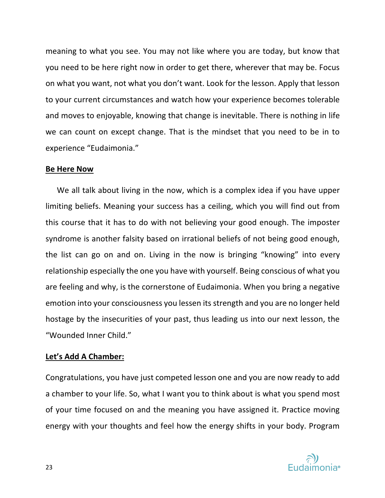meaning to what you see. You may not like where you are today, but know that you need to be here right now in order to get there, wherever that may be. Focus on what you want, not what you don't want. Look for the lesson. Apply that lesson to your current circumstances and watch how your experience becomes tolerable and moves to enjoyable, knowing that change is inevitable. There is nothing in life we can count on except change. That is the mindset that you need to be in to experience "Eudaimonia."

## **Be Here Now**

We all talk about living in the now, which is a complex idea if you have upper limiting beliefs. Meaning your success has a ceiling, which you will find out from this course that it has to do with not believing your good enough. The imposter syndrome is another falsity based on irrational beliefs of not being good enough, the list can go on and on. Living in the now is bringing "knowing" into every relationship especially the one you have with yourself. Being conscious of what you are feeling and why, is the cornerstone of Eudaimonia. When you bring a negative emotion into your consciousness you lessen its strength and you are no longer held hostage by the insecurities of your past, thus leading us into our next lesson, the "Wounded Inner Child."

## **Let's Add A Chamber:**

Congratulations, you have just competed lesson one and you are now ready to add a chamber to your life. So, what I want you to think about is what you spend most of your time focused on and the meaning you have assigned it. Practice moving energy with your thoughts and feel how the energy shifts in your body. Program